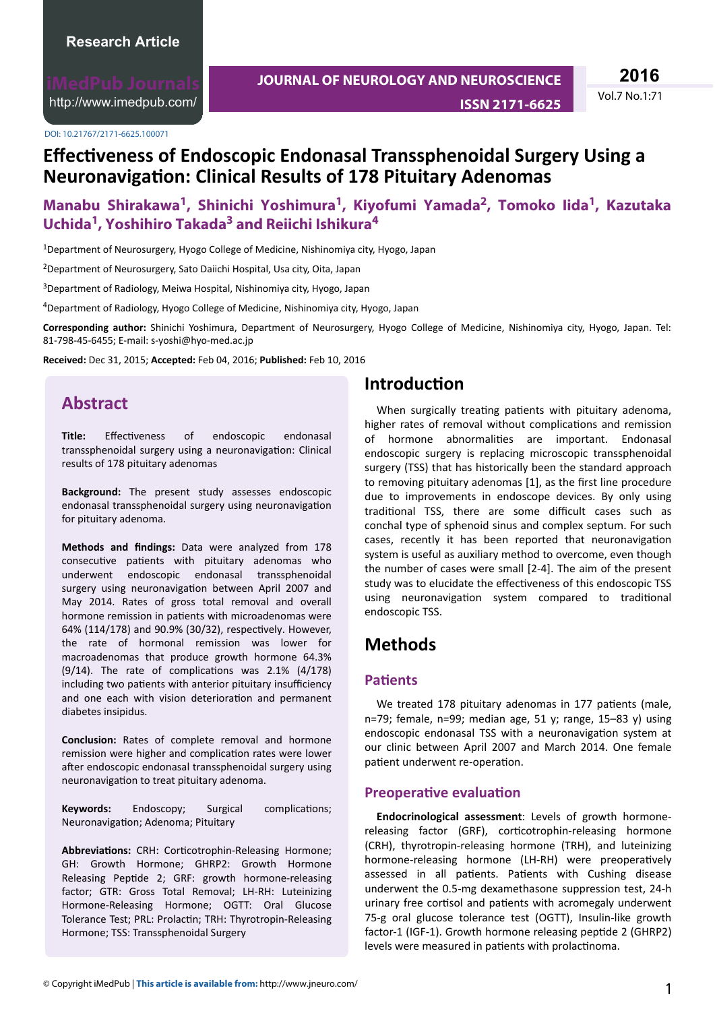<http://www.imedpub.com/>

DOI: 10.21767/2171-6625.100071

**2016**

# **Effectiveness of Endoscopic Endonasal Transsphenoidal Surgery Using a Neuronavigation: Clinical Results of 178 Pituitary Adenomas**

# **Manabu Shirakawa<sup>1</sup> , Shinichi Yoshimura<sup>1</sup> , Kiyofumi Yamada<sup>2</sup> , Tomoko Iida<sup>1</sup> , Kazutaka Uchida<sup>1</sup> , Yoshihiro Takada<sup>3</sup> and Reiichi Ishikura<sup>4</sup>**

<sup>1</sup>Department of Neurosurgery, Hyogo College of Medicine, Nishinomiya city, Hyogo, Japan

<sup>2</sup>Department of Neurosurgery, Sato Daiichi Hospital, Usa city, Oita, Japan

<sup>3</sup>Department of Radiology, Meiwa Hospital, Nishinomiya city, Hyogo, Japan

<sup>4</sup>Department of Radiology, Hyogo College of Medicine, Nishinomiya city, Hyogo, Japan

**Corresponding author:** Shinichi Yoshimura, Department of Neurosurgery, Hyogo College of Medicine, Nishinomiya city, Hyogo, Japan. Tel: 81-798-45-6455; E-mail: s-yoshi@hyo-med.ac.jp

**Received:** Dec 31, 2015; **Accepted:** Feb 04, 2016; **Published:** Feb 10, 2016

## **Abstract**

Title: Effectiveness of endoscopic endonasal transsphenoidal surgery using a neuronavigation: Clinical results of 178 pituitary adenomas

**Background:** The present study assesses endoscopic endonasal transsphenoidal surgery using neuronavigation for pituitary adenoma.

Methods and findings: Data were analyzed from 178 consecutive patients with pituitary adenomas who underwent endoscopic endonasal transsphenoidal surgery using neuronavigation between April 2007 and May 2014. Rates of gross total removal and overall hormone remission in patients with microadenomas were 64% (114/178) and 90.9% (30/32), respectively. However, the rate of hormonal remission was lower for macroadenomas that produce growth hormone 64.3%  $(9/14)$ . The rate of complications was 2.1%  $(4/178)$ including two patients with anterior pituitary insufficiency and one each with vision deterioration and permanent diabetes insipidus.

**Conclusion:** Rates of complete removal and hormone remission were higher and complication rates were lower after endoscopic endonasal transsphenoidal surgery using neuronavigation to treat pituitary adenoma.

**Keywords:** Endoscopy; Surgical complications; Neuronavigation; Adenoma; Pituitary

**Abbreviations:** CRH: Corticotrophin-Releasing Hormone; GH: Growth Hormone; GHRP2: Growth Hormone Releasing Peptide 2; GRF: growth hormone-releasing factor; GTR: Gross Total Removal; LH-RH: Luteinizing Hormone-Releasing Hormone; OGTT: Oral Glucose Tolerance Test; PRL: Prolactin; TRH: Thyrotropin-Releasing Hormone; TSS: Transsphenoidal Surgery

## **Introduction**

When surgically treating patients with pituitary adenoma, higher rates of removal without complications and remission of hormone abnormalities are important. Endonasal endoscopic surgery is replacing microscopic transsphenoidal surgery (TSS) that has historically been the standard approach to removing pituitary adenomas [1], as the first line procedure due to improvements in endoscope devices. By only using traditional TSS, there are some difficult cases such as conchal type of sphenoid sinus and complex septum. For such cases, recently it has been reported that neuronavigation system is useful as auxiliary method to overcome, even though the number of cases were small [2-4]. The aim of the present study was to elucidate the effectiveness of this endoscopic TSS using neuronavigation system compared to traditional endoscopic TSS.

## **Methods**

### **Patients**

We treated 178 pituitary adenomas in 177 patients (male, n=79; female, n=99; median age, 51 y; range, 15-83 y) using endoscopic endonasal TSS with a neuronavigation system at our clinic between April 2007 and March 2014. One female patient underwent re-operation.

#### **Preoperative evaluation**

**Endocrinological assessment**: Levels of growth hormonereleasing factor (GRF), corticotrophin-releasing hormone (CRH), thyrotropin-releasing hormone (TRH), and luteinizing hormone-releasing hormone (LH-RH) were preoperatively assessed in all patients. Patients with Cushing disease underwent the 0.5-mg dexamethasone suppression test, 24-h urinary free cortisol and patients with acromegaly underwent 75-g oral glucose tolerance test (OGTT), Insulin-like growth factor-1 (IGF-1). Growth hormone releasing peptide 2 (GHRP2) levels were measured in patients with prolactinoma.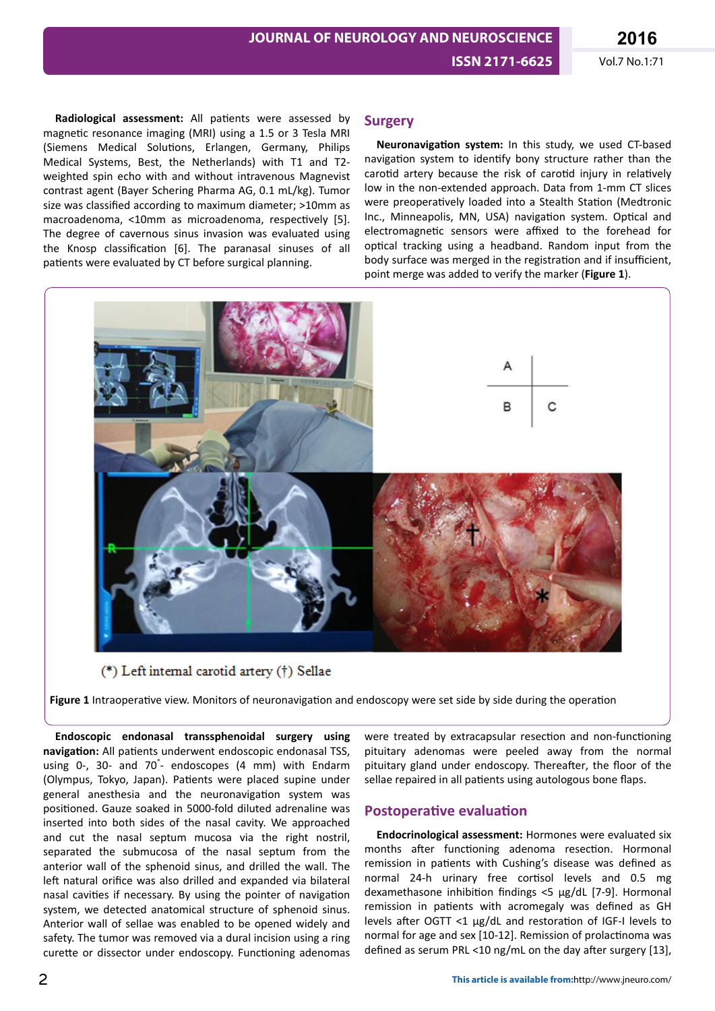Radiological assessment: All patients were assessed by magnetic resonance imaging (MRI) using a 1.5 or 3 Tesla MRI (Siemens Medical Solutions, Erlangen, Germany, Philips Medical Systems, Best, the Netherlands) with T1 and T2 weighted spin echo with and without intravenous Magnevist contrast agent (Bayer Schering Pharma AG, 0.1 mL/kg). Tumor size was classified according to maximum diameter; >10mm as macroadenoma, <10mm as microadenoma, respectively [5]. The degree of cavernous sinus invasion was evaluated using the Knosp classification [6]. The paranasal sinuses of all patients were evaluated by CT before surgical planning.

#### **Surgery**

Neuronavigation system: In this study, we used CT-based navigation system to identify bony structure rather than the carotid artery because the risk of carotid injury in relatively low in the non-extended approach. Data from 1-mm CT slices were preoperatively loaded into a Stealth Station (Medtronic Inc., Minneapolis, MN, USA) navigation system. Optical and electromagnetic sensors were affixed to the forehead for optical tracking using a headband. Random input from the body surface was merged in the registration and if insufficient, point merge was added to verify the marker (**Figure 1**).



(\*) Left internal carotid artery (†) Sellae

Figure 1 Intraoperative view. Monitors of neuronavigation and endoscopy were set side by side during the operation

**Endoscopic endonasal transsphenoidal surgery using** navigation: All patients underwent endoscopic endonasal TSS, using 0-, 30- and 70° - endoscopes (4 mm) with Endarm (Olympus, Tokyo, Japan). Patients were placed supine under general anesthesia and the neuronavigation system was positioned. Gauze soaked in 5000-fold diluted adrenaline was inserted into both sides of the nasal cavity. We approached and cut the nasal septum mucosa via the right nostril, separated the submucosa of the nasal septum from the anterior wall of the sphenoid sinus, and drilled the wall. The left natural orifice was also drilled and expanded via bilateral nasal cavities if necessary. By using the pointer of navigation system, we detected anatomical structure of sphenoid sinus. Anterior wall of sellae was enabled to be opened widely and safety. The tumor was removed via a dural incision using a ring curette or dissector under endoscopy. Functioning adenomas

were treated by extracapsular resection and non-functioning pituitary adenomas were peeled away from the normal pituitary gland under endoscopy. Thereafter, the floor of the sellae repaired in all patients using autologous bone flaps.

#### **Postoperative evaluation**

**Endocrinological assessment:** Hormones were evaluated six months after functioning adenoma resection. Hormonal remission in patients with Cushing's disease was defined as normal 24-h urinary free cortisol levels and 0.5 mg dexamethasone inhibition findings <5  $\mu$ g/dL [7-9]. Hormonal remission in patients with acromegaly was defined as GH levels after OGTT <1  $\mu$ g/dL and restoration of IGF-I levels to normal for age and sex [10-12]. Remission of prolactinoma was defined as serum PRL <10 ng/mL on the day after surgery [13],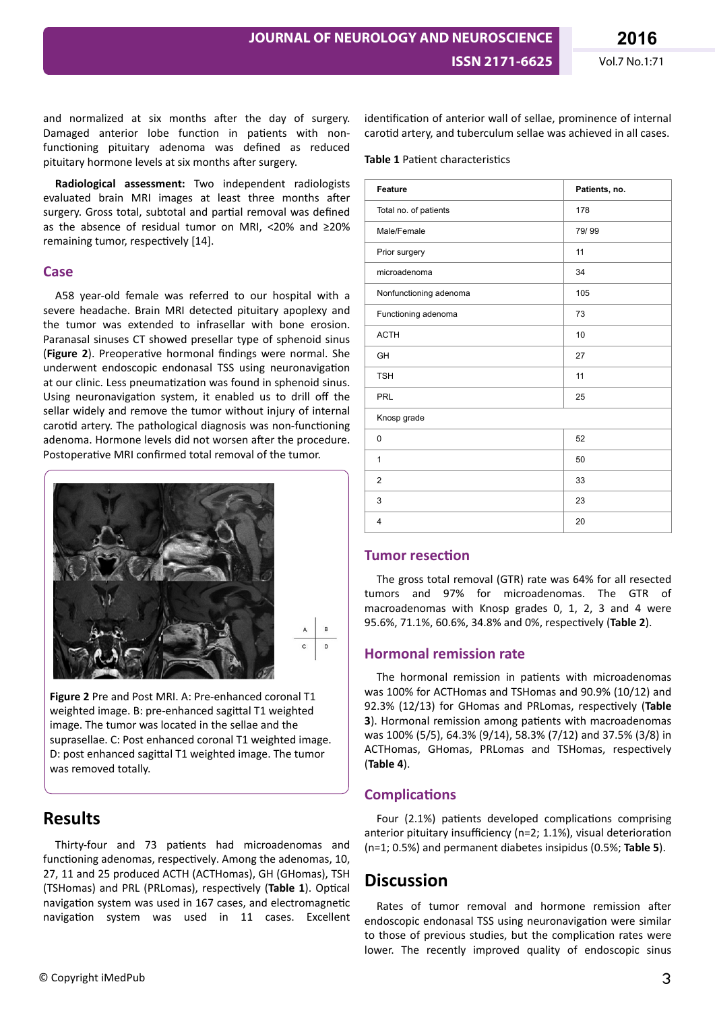and normalized at six months after the day of surgery. Damaged anterior lobe function in patients with nonfunctioning pituitary adenoma was defined as reduced pituitary hormone levels at six months after surgery.

**Radiological assessment:** Two independent radiologists evaluated brain MRI images at least three months after surgery. Gross total, subtotal and partial removal was defined as the absence of residual tumor on MRI, <20% and ≥20% remaining tumor, respectively [14].

#### **Case**

A58 year-old female was referred to our hospital with a severe headache. Brain MRI detected pituitary apoplexy and the tumor was extended to infrasellar with bone erosion. Paranasal sinuses CT showed presellar type of sphenoid sinus (**Figure 2**). Preoperative hormonal findings were normal. She underwent endoscopic endonasal TSS using neuronavigation at our clinic. Less pneumatization was found in sphenoid sinus. Using neuronavigation system, it enabled us to drill off the sellar widely and remove the tumor without injury of internal carotid artery. The pathological diagnosis was non-functioning adenoma. Hormone levels did not worsen after the procedure. Postoperative MRI confirmed total removal of the tumor.



$$
\begin{array}{c|c}\nA & B \\
\hline\nC & D\n\end{array}
$$

**Figure 2** Pre and Post MRI. A: Pre-enhanced coronal T1 weighted image. B: pre-enhanced sagittal T1 weighted image. The tumor was located in the sellae and the suprasellae. C: Post enhanced coronal T1 weighted image. D: post enhanced sagittal T1 weighted image. The tumor was removed totally.

# **Results**

Thirty-four and 73 patients had microadenomas and functioning adenomas, respectively. Among the adenomas, 10, 27, 11 and 25 produced ACTH (ACTHomas), GH (GHomas), TSH (TSHomas) and PRL (PRLomas), respectively (Table 1). Optical navigation system was used in 167 cases, and electromagnetic navigation system was used in 11 cases. Excellent identification of anterior wall of sellae, prominence of internal carotid artery, and tuberculum sellae was achieved in all cases.

#### **Table 1** Patient characteristics

| Patients, no. |
|---------------|
| 178           |
| 79/99         |
| 11            |
| 34            |
| 105           |
| 73            |
| 10            |
| 27            |
| 11            |
| 25            |
|               |
| 52            |
| 50            |
| 33            |
| 23            |
| 20            |
|               |

### **Tumor resection**

The gross total removal (GTR) rate was 64% for all resected tumors and 97% for microadenomas. The GTR of macroadenomas with Knosp grades 0, 1, 2, 3 and 4 were 95.6%, 71.1%, 60.6%, 34.8% and 0%, respectively (Table 2).

### **Hormonal remission rate**

The hormonal remission in patients with microadenomas was 100% for ACTHomas and TSHomas and 90.9% (10/12) and 92.3% (12/13) for GHomas and PRLomas, respectively (Table **3**). Hormonal remission among patients with macroadenomas was 100% (5/5), 64.3% (9/14), 58.3% (7/12) and 37.5% (3/8) in ACTHomas, GHomas, PRLomas and TSHomas, respectively (**Table 4**).

### **Complications**

Four (2.1%) patients developed complications comprising anterior pituitary insufficiency (n=2; 1.1%), visual deterioration (n=1; 0.5%) and permanent diabetes insipidus (0.5%; **Table 5**).

# **Discussion**

Rates of tumor removal and hormone remission after endoscopic endonasal TSS using neuronavigation were similar to those of previous studies, but the complication rates were lower. The recently improved quality of endoscopic sinus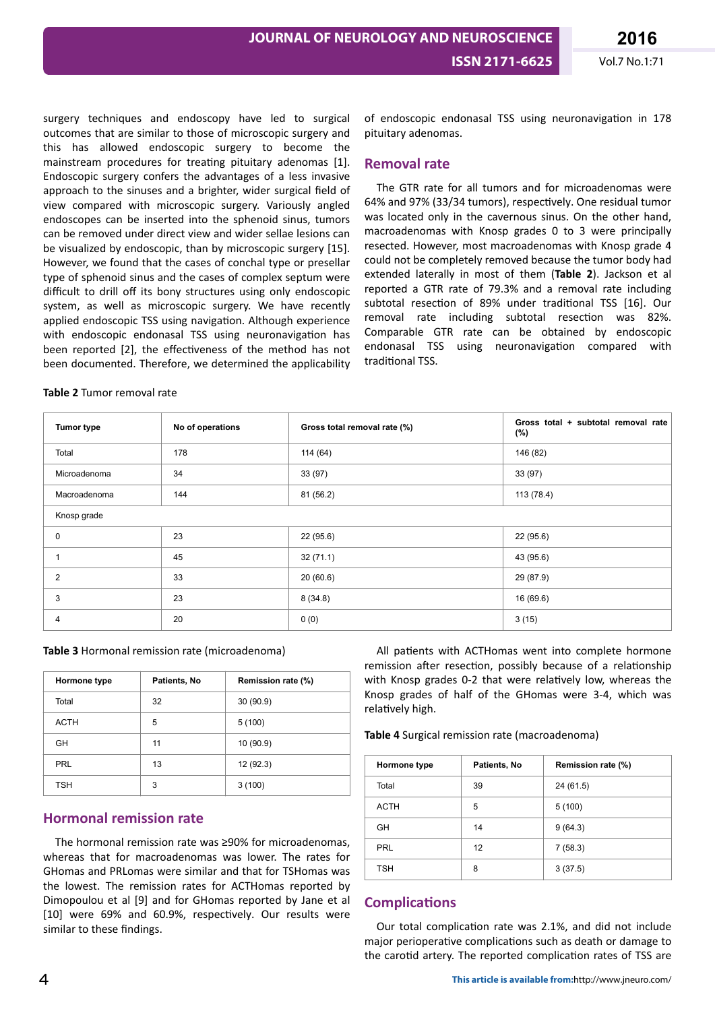surgery techniques and endoscopy have led to surgical outcomes that are similar to those of microscopic surgery and this has allowed endoscopic surgery to become the mainstream procedures for treating pituitary adenomas [1]. Endoscopic surgery confers the advantages of a less invasive approach to the sinuses and a brighter, wider surgical field of view compared with microscopic surgery. Variously angled endoscopes can be inserted into the sphenoid sinus, tumors can be removed under direct view and wider sellae lesions can be visualized by endoscopic, than by microscopic surgery [15]. However, we found that the cases of conchal type or presellar type of sphenoid sinus and the cases of complex septum were difficult to drill off its bony structures using only endoscopic system, as well as microscopic surgery. We have recently applied endoscopic TSS using navigation. Although experience with endoscopic endonasal TSS using neuronavigation has been reported [2], the effectiveness of the method has not been documented. Therefore, we determined the applicability

#### **Table 2** Tumor removal rate

of endoscopic endonasal TSS using neuronavigation in 178 pituitary adenomas.

#### **Removal rate**

The GTR rate for all tumors and for microadenomas were 64% and 97% (33/34 tumors), respectively. One residual tumor was located only in the cavernous sinus. On the other hand, macroadenomas with Knosp grades 0 to 3 were principally resected. However, most macroadenomas with Knosp grade 4 could not be completely removed because the tumor body had extended laterally in most of them (**Table 2**). Jackson et al reported a GTR rate of 79.3% and a removal rate including subtotal resection of 89% under traditional TSS [16]. Our removal rate including subtotal resection was 82%. Comparable GTR rate can be obtained by endoscopic endonasal TSS using neuronavigation compared with traditional TSS.

| <b>Tumor type</b> | No of operations | Gross total removal rate (%) | Gross total + subtotal removal rate<br>$(\%)$ |  |  |  |
|-------------------|------------------|------------------------------|-----------------------------------------------|--|--|--|
| Total             | 178              | 114 (64)                     | 146 (82)                                      |  |  |  |
| Microadenoma      | 34               | 33 (97)                      | 33 (97)                                       |  |  |  |
| Macroadenoma      | 144              | 81 (56.2)                    | 113 (78.4)                                    |  |  |  |
| Knosp grade       |                  |                              |                                               |  |  |  |
| 0                 | 23               | 22 (95.6)                    | 22 (95.6)                                     |  |  |  |
| 1                 | 45               | 32(71.1)                     | 43 (95.6)                                     |  |  |  |
| $\overline{2}$    | 33               | 20(60.6)                     | 29 (87.9)                                     |  |  |  |
| 3                 | 23               | 8(34.8)                      | 16 (69.6)                                     |  |  |  |
| 4                 | 20               | 0(0)                         | 3(15)                                         |  |  |  |

**Table 3** Hormonal remission rate (microadenoma)

| Hormone type | Patients, No | Remission rate (%) |  |  |
|--------------|--------------|--------------------|--|--|
| Total        | 32           | 30(90.9)           |  |  |
| <b>ACTH</b>  | 5            | 5(100)             |  |  |
| GH           | 11           | 10 (90.9)          |  |  |
| <b>PRL</b>   | 13           | 12 (92.3)          |  |  |
| <b>TSH</b>   | 3            | 3(100)             |  |  |

### **Hormonal remission rate**

The hormonal remission rate was ≥90% for microadenomas, whereas that for macroadenomas was lower. The rates for GHomas and PRLomas were similar and that for TSHomas was the lowest. The remission rates for ACTHomas reported by Dimopoulou et al [9] and for GHomas reported by Jane et al [10] were 69% and 60.9%, respectively. Our results were similar to these findings.

All patients with ACTHomas went into complete hormone remission after resection, possibly because of a relationship with Knosp grades 0-2 that were relatively low, whereas the Knosp grades of half of the GHomas were 3-4, which was relatively high.

**Table 4** Surgical remission rate (macroadenoma)

| Hormone type | Patients, No | Remission rate (%) |  |  |
|--------------|--------------|--------------------|--|--|
| Total        | 39           | 24 (61.5)          |  |  |
| <b>ACTH</b>  | 5            | 5(100)             |  |  |
| GH           | 14           | 9(64.3)            |  |  |
| PRL          | 12           | 7(58.3)            |  |  |
| <b>TSH</b>   | 8            | 3(37.5)            |  |  |

### **Complications**

Our total complication rate was 2.1%, and did not include major perioperative complications such as death or damage to the carotid artery. The reported complication rates of TSS are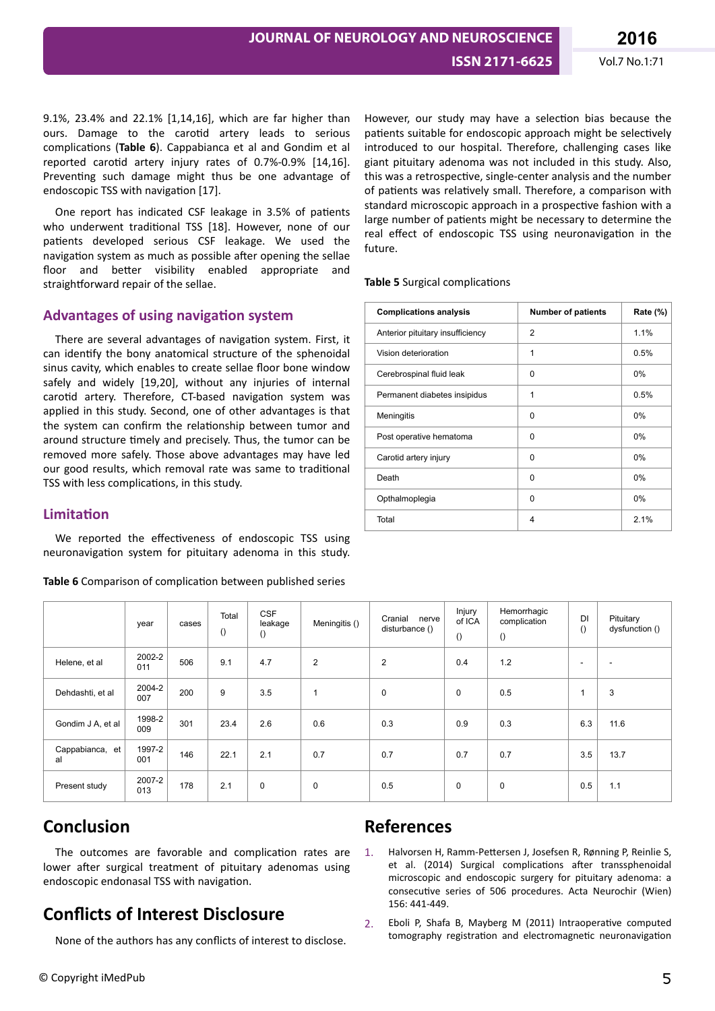9.1%, 23.4% and 22.1% [1,14,16], which are far higher than ours. Damage to the carotid artery leads to serious complications (Table 6). Cappabianca et al and Gondim et al reported carotid artery injury rates of  $0.7% -0.9%$  [14,16]. Preventing such damage might thus be one advantage of endoscopic TSS with navigation [17].

One report has indicated CSF leakage in 3.5% of patients who underwent traditional TSS [18]. However, none of our patients developed serious CSF leakage. We used the navigation system as much as possible after opening the sellae floor and better visibility enabled appropriate and straightforward repair of the sellae.

### **Advantages of using navigation system**

There are several advantages of navigation system. First, it can identify the bony anatomical structure of the sphenoidal sinus cavity, which enables to create sellae floor bone window safely and widely [19,20], without any injuries of internal carotid artery. Therefore, CT-based navigation system was applied in this study. Second, one of other advantages is that the system can confirm the relationship between tumor and around structure timely and precisely. Thus, the tumor can be removed more safely. Those above advantages may have led our good results, which removal rate was same to traditional TSS with less complications, in this study.

### **Limitation**

We reported the effectiveness of endoscopic TSS using neuronavigation system for pituitary adenoma in this study.

Table 6 Comparison of complication between published series

However, our study may have a selection bias because the patients suitable for endoscopic approach might be selectively introduced to our hospital. Therefore, challenging cases like giant pituitary adenoma was not included in this study. Also, this was a retrospective, single-center analysis and the number of patients was relatively small. Therefore, a comparison with standard microscopic approach in a prospective fashion with a large number of patients might be necessary to determine the real effect of endoscopic TSS using neuronavigation in the future.

**Table 5** Surgical complications

| <b>Complications analysis</b>    | <b>Number of patients</b> | Rate (%) |  |
|----------------------------------|---------------------------|----------|--|
| Anterior pituitary insufficiency | $\overline{2}$            | 1.1%     |  |
| Vision deterioration             | 1                         | 0.5%     |  |
| Cerebrospinal fluid leak         | 0                         | $0\%$    |  |
| Permanent diabetes insipidus     | 1                         | 0.5%     |  |
| Meningitis                       | 0                         | $0\%$    |  |
| Post operative hematoma          | 0                         | 0%       |  |
| Carotid artery injury            | 0                         | $0\%$    |  |
| Death                            | 0                         | 0%       |  |
| Opthalmoplegia                   | 0                         | $0\%$    |  |
| Total                            | 4                         | 2.1%     |  |

|                       | year          | cases | Total<br>() | <b>CSF</b><br>leakage<br>$\left( \right)$ | Meningitis ()  | Cranial<br>nerve<br>disturbance () | Injury<br>of ICA<br>$\left( \right)$ | Hemorrhagic<br>complication<br>$\left( \right)$ | DI<br>()                 | Pituitary<br>dysfunction () |
|-----------------------|---------------|-------|-------------|-------------------------------------------|----------------|------------------------------------|--------------------------------------|-------------------------------------------------|--------------------------|-----------------------------|
| Helene, et al         | 2002-2<br>011 | 506   | 9.1         | 4.7                                       | $\overline{c}$ | $\overline{2}$                     | 0.4                                  | 1.2                                             | $\overline{\phantom{a}}$ | ٠                           |
| Dehdashti, et al      | 2004-2<br>007 | 200   | 9           | 3.5                                       | ٠              | 0                                  | $\mathbf 0$                          | 0.5                                             |                          | 3                           |
| Gondim J A, et al     | 1998-2<br>009 | 301   | 23.4        | 2.6                                       | 0.6            | 0.3                                | 0.9                                  | 0.3                                             | 6.3                      | 11.6                        |
| Cappabianca, et<br>al | 1997-2<br>001 | 146   | 22.1        | 2.1                                       | 0.7            | 0.7                                | 0.7                                  | 0.7                                             | 3.5                      | 13.7                        |
| Present study         | 2007-2<br>013 | 178   | 2.1         | 0                                         | $\mathbf 0$    | 0.5                                | 0                                    | $\mathbf 0$                                     | 0.5                      | 1.1                         |

# **Conclusion**

The outcomes are favorable and complication rates are lower after surgical treatment of pituitary adenomas using endoscopic endonasal TSS with navigation.

# **Conflicts of Interest Disclosure**

None of the authors has any conflicts of interest to disclose.

## **References**

- Halvorsen H, Ramm-Pettersen J, Josefsen R, Rønning P, Reinlie S, et al. (2014) Surgical complications after transsphenoidal microscopic and endoscopic surgery for pituitary adenoma: a consecutive series of 506 procedures. Acta Neurochir (Wien) 156: 441-449.
- 2. Eboli P, Shafa B, Mayberg M (2011) Intraoperative computed tomography registration and electromagnetic neuronavigation